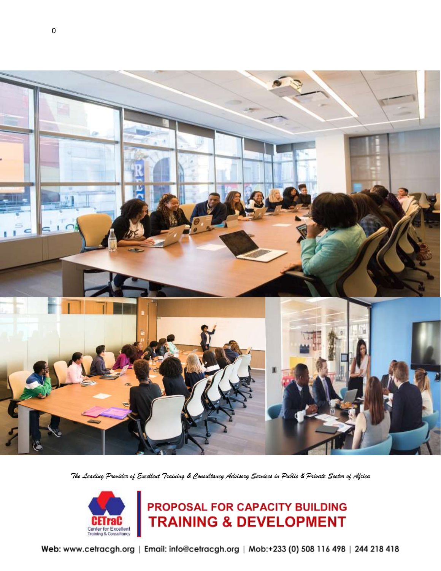

*The Leading Provider of Excellent Training & Consultancy Advisory Services in Public & Private Sector of Africa*



# **PROPOSAL FOR CAPACITY BUILDING<br>TRAINING & DEVELOPMENT**

Web: www.cetracgh.org | Email: info@cetracgh.org | Mob:+233 (0) 508 116 498 | 244 218 418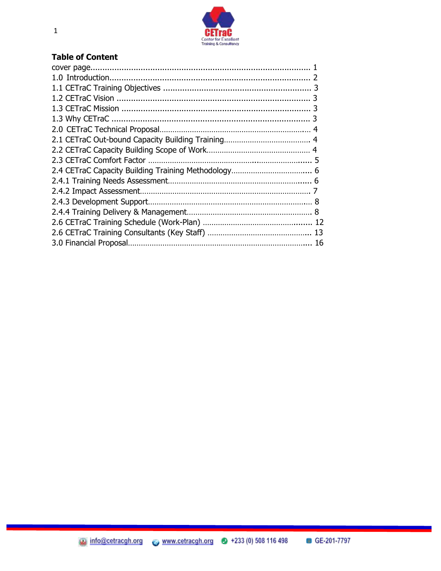

#### **Table of Content**

<u> 1989 - An Dùbhlachd an Dùbhlachd an Dùbhlachd an Dùbhlachd an Dùbhlachd an Dùbhlachd an Dùbhlachd an Dùbhlach</u>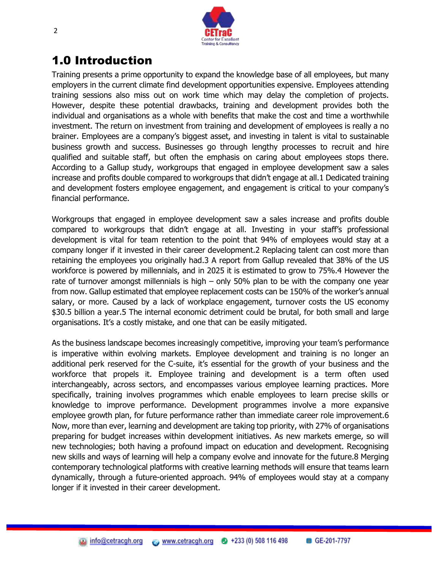

#### 1.0 Introduction

Training presents a prime opportunity to expand the knowledge base of all employees, but many employers in the current climate find development opportunities expensive. Employees attending training sessions also miss out on work time which may delay the completion of projects. However, despite these potential drawbacks, training and development provides both the individual and organisations as a whole with benefits that make the cost and time a worthwhile investment. The return on investment from training and development of employees is really a no brainer. Employees are a company's biggest asset, and investing in talent is vital to sustainable business growth and success. Businesses go through lengthy processes to recruit and hire qualified and suitable staff, but often the emphasis on caring about employees stops there. According to a Gallup study, workgroups that engaged in employee development saw a sales increase and profits double compared to workgroups that didn't engage at all.1 Dedicated training and development fosters employee engagement, and engagement is critical to your company's financial performance.

Workgroups that engaged in employee development saw a sales increase and profits double compared to workgroups that didn't engage at all. Investing in your staff's professional development is vital for team retention to the point that 94% of employees would stay at a company longer if it invested in their career development.2 Replacing talent can cost more than retaining the employees you originally had.3 A report from Gallup revealed that 38% of the US workforce is powered by millennials, and in 2025 it is estimated to grow to 75%.4 However the rate of turnover amongst millennials is high – only 50% plan to be with the company one year from now. Gallup estimated that employee replacement costs can be 150% of the worker's annual salary, or more. Caused by a lack of workplace engagement, turnover costs the US economy \$30.5 billion a year.5 The internal economic detriment could be brutal, for both small and large organisations. It's a costly mistake, and one that can be easily mitigated.

As the business landscape becomes increasingly competitive, improving your team's performance is imperative within evolving markets. Employee development and training is no longer an additional perk reserved for the C-suite, it's essential for the growth of your business and the workforce that propels it. Employee training and development is a term often used interchangeably, across sectors, and encompasses various employee learning practices. More specifically, training involves programmes which enable employees to learn precise skills or knowledge to improve performance. Development programmes involve a more expansive employee growth plan, for future performance rather than immediate career role improvement.6 Now, more than ever, learning and development are taking top priority, with 27% of organisations preparing for budget increases within development initiatives. As new markets emerge, so will new technologies; both having a profound impact on education and development. Recognising new skills and ways of learning will help a company evolve and innovate for the future.8 Merging contemporary technological platforms with creative learning methods will ensure that teams learn dynamically, through a future-oriented approach. 94% of employees would stay at a company longer if it invested in their career development.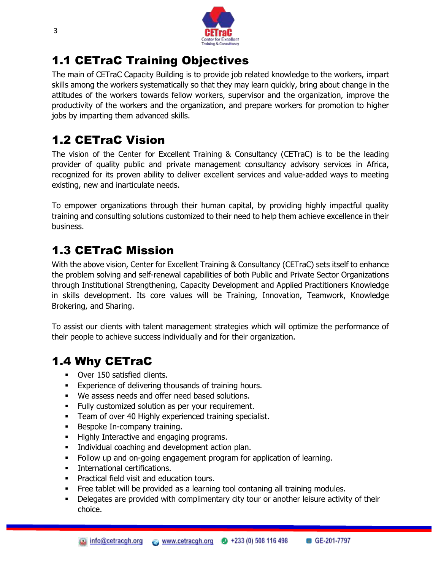

## 1.1 CETraC Training Objectives

The main of CETraC Capacity Building is to provide job related knowledge to the workers, impart skills among the workers systematically so that they may learn quickly, bring about change in the attitudes of the workers towards fellow workers, supervisor and the organization, improve the productivity of the workers and the organization, and prepare workers for promotion to higher jobs by imparting them advanced skills.

# 1.2 CETraC Vision

The vision of the Center for Excellent Training & Consultancy (CETraC) is to be the leading provider of quality public and private management consultancy advisory services in Africa, recognized for its proven ability to deliver excellent services and value-added ways to meeting existing, new and inarticulate needs.

To empower organizations through their human capital, by providing highly impactful quality training and consulting solutions customized to their need to help them achieve excellence in their business.

## 1.3 CETraC Mission

With the above vision, Center for Excellent Training & Consultancy (CETraC) sets itself to enhance the problem solving and self-renewal capabilities of both Public and Private Sector Organizations through Institutional Strengthening, Capacity Development and Applied Practitioners Knowledge in skills development. Its core values will be Training, Innovation, Teamwork, Knowledge Brokering, and Sharing.

To assist our clients with talent management strategies which will optimize the performance of their people to achieve success individually and for their organization.

# 1.4 Why CETraC

- **•** Over 150 satisfied clients.
- **Experience of delivering thousands of training hours.**
- We assess needs and offer need based solutions.
- **Fully customized solution as per your requirement.**
- **Team of over 40 Highly experienced training specialist.**
- Bespoke In-company training.
- **Highly Interactive and engaging programs.**
- **Individual coaching and development action plan.**
- Follow up and on-going engagement program for application of learning.
- **International certifications.**
- **Practical field visit and education tours.**
- Free tablet will be provided as a learning tool contaning all training modules.
- Delegates are provided with complimentary city tour or another leisure activity of their choice.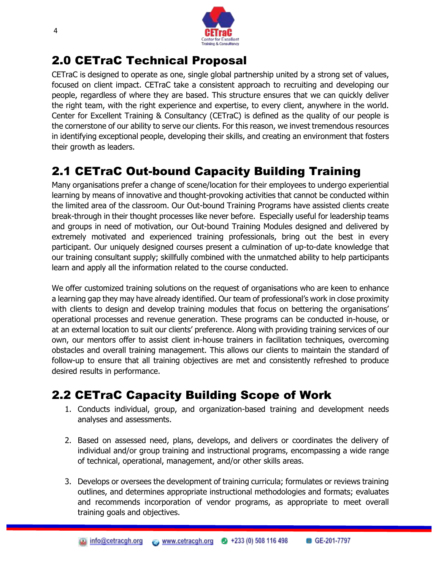

#### 2.0 CETraC Technical Proposal

CETraC is designed to operate as one, single global partnership united by a strong set of values, focused on client impact. CETraC take a consistent approach to recruiting and developing our people, regardless of where they are based. This structure ensures that we can quickly deliver the right team, with the right experience and expertise, to every client, anywhere in the world. Center for Excellent Training & Consultancy (CETraC) is defined as the quality of our people is the cornerstone of our ability to serve our clients. For this reason, we invest tremendous resources in identifying exceptional people, developing their skills, and creating an environment that fosters their growth as leaders.

## 2.1 CETraC Out-bound Capacity Building Training

Many organisations prefer a change of scene/location for their employees to undergo experiential learning by means of innovative and thought-provoking activities that cannot be conducted within the limited area of the classroom. Our Out-bound Training Programs have assisted clients create break-through in their thought processes like never before. Especially useful for leadership teams and groups in need of motivation, our Out-bound Training Modules designed and delivered by extremely motivated and experienced training professionals, bring out the best in every participant. Our uniquely designed courses present a culmination of up-to-date knowledge that our training consultant supply; skillfully combined with the unmatched ability to help participants learn and apply all the information related to the course conducted.

We offer customized training solutions on the request of organisations who are keen to enhance a learning gap they may have already identified. Our team of professional's work in close proximity with clients to design and develop training modules that focus on bettering the organisations' operational processes and revenue generation. These programs can be conducted in-house, or at an external location to suit our clients' preference. Along with providing training services of our own, our mentors offer to assist client in-house trainers in facilitation techniques, overcoming obstacles and overall training management. This allows our clients to maintain the standard of follow-up to ensure that all training objectives are met and consistently refreshed to produce desired results in performance.

## 2.2 CETraC Capacity Building Scope of Work

- 1. Conducts individual, group, and organization-based training and development needs analyses and assessments.
- 2. Based on assessed need, plans, develops, and delivers or coordinates the delivery of individual and/or group training and instructional programs, encompassing a wide range of technical, operational, management, and/or other skills areas.
- 3. Develops or oversees the development of training curricula; formulates or reviews training outlines, and determines appropriate instructional methodologies and formats; evaluates and recommends incorporation of vendor programs, as appropriate to meet overall training goals and objectives.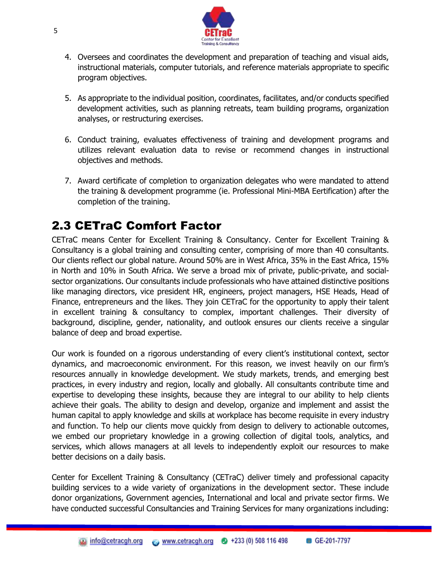

- 4. Oversees and coordinates the development and preparation of teaching and visual aids, instructional materials, computer tutorials, and reference materials appropriate to specific program objectives.
- 5. As appropriate to the individual position, coordinates, facilitates, and/or conducts specified development activities, such as planning retreats, team building programs, organization analyses, or restructuring exercises.
- 6. Conduct training, evaluates effectiveness of training and development programs and utilizes relevant evaluation data to revise or recommend changes in instructional objectives and methods.
- 7. Award certificate of completion to organization delegates who were mandated to attend the training & development programme (ie. Professional Mini-MBA Eertification) after the completion of the training.

## 2.3 CETraC Comfort Factor

CETraC means Center for Excellent Training & Consultancy. Center for Excellent Training & Consultancy is a global training and consulting center, comprising of more than 40 consultants. Our clients reflect our global nature. Around 50% are in West Africa, 35% in the East Africa, 15% in North and 10% in South Africa. We serve a broad mix of private, public-private, and socialsector organizations. Our consultants include professionals who have attained distinctive positions like managing directors, vice president HR, engineers, project managers, HSE Heads, Head of Finance, entrepreneurs and the likes. They join CETraC for the opportunity to apply their talent in excellent training & consultancy to complex, important challenges. Their diversity of background, discipline, gender, nationality, and outlook ensures our clients receive a singular balance of deep and broad expertise.

Our work is founded on a rigorous understanding of every client's institutional context, sector dynamics, and macroeconomic environment. For this reason, we invest heavily on our firm's resources annually in knowledge development. We study markets, trends, and emerging best practices, in every industry and region, locally and globally. All consultants contribute time and expertise to developing these insights, because they are integral to our ability to help clients achieve their goals. The ability to design and develop, organize and implement and assist the human capital to apply knowledge and skills at workplace has become requisite in every industry and function. To help our clients move quickly from design to delivery to actionable outcomes, we embed our proprietary knowledge in a growing collection of digital tools, analytics, and services, which allows managers at all levels to independently exploit our resources to make better decisions on a daily basis.

Center for Excellent Training & Consultancy (CETraC) deliver timely and professional capacity building services to a wide variety of organizations in the development sector. These include donor organizations, Government agencies, International and local and private sector firms. We have conducted successful Consultancies and Training Services for many organizations including: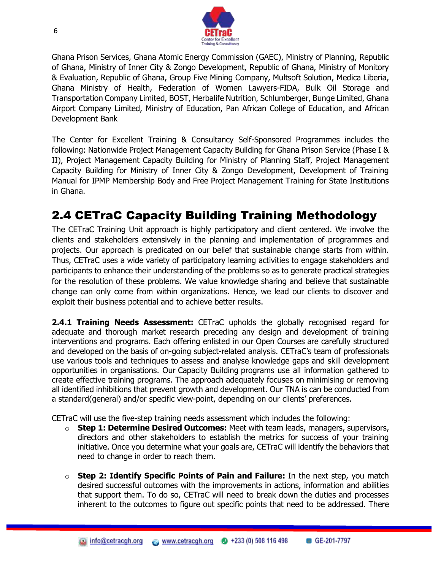

Ghana Prison Services, Ghana Atomic Energy Commission (GAEC), Ministry of Planning, Republic of Ghana, Ministry of Inner City & Zongo Development, Republic of Ghana, Ministry of Monitory & Evaluation, Republic of Ghana, Group Five Mining Company, Multsoft Solution, Medica Liberia, Ghana Ministry of Health, Federation of Women Lawyers-FIDA, Bulk Oil Storage and Transportation Company Limited, BOST, Herbalife Nutrition, Schlumberger, Bunge Limited, Ghana Airport Company Limited, Ministry of Education, Pan African College of Education, and African Development Bank

The Center for Excellent Training & Consultancy Self-Sponsored Programmes includes the following: Nationwide Project Management Capacity Building for Ghana Prison Service (Phase I & II), Project Management Capacity Building for Ministry of Planning Staff, Project Management Capacity Building for Ministry of Inner City & Zongo Development, Development of Training Manual for IPMP Membership Body and Free Project Management Training for State Institutions in Ghana.

## 2.4 CETraC Capacity Building Training Methodology

The CETraC Training Unit approach is highly participatory and client centered. We involve the clients and stakeholders extensively in the planning and implementation of programmes and projects. Our approach is predicated on our belief that sustainable change starts from within. Thus, CETraC uses a wide variety of participatory learning activities to engage stakeholders and participants to enhance their understanding of the problems so as to generate practical strategies for the resolution of these problems. We value knowledge sharing and believe that sustainable change can only come from within organizations. Hence, we lead our clients to discover and exploit their business potential and to achieve better results.

**2.4.1 Training Needs Assessment:** CETraC upholds the globally recognised regard for adequate and thorough market research preceding any design and development of training interventions and programs. Each offering enlisted in our [Open Courses](https://zoetalentsolutions.com/open-courses-calendar/) are carefully structured and developed on the basis of on-going subject-related analysis. CETraC's team of professionals use various tools and techniques to assess and analyse knowledge gaps and skill development opportunities in organisations. Our [Capacity Building](https://zoetalentsolutions.com/solutions/capacity-building/) programs use all information gathered to create effective training programs. The approach adequately focuses on minimising or removing all identified inhibitions that prevent growth and development. Our TNA is can be conducted from a standard(general) and/or specific view-point, depending on our clients' preferences.

CETraC will use the five-step training needs assessment which includes the following:

- o **Step 1: Determine Desired Outcomes:** Meet with team leads, managers, supervisors, directors and other stakeholders to establish the metrics for success of your training initiative. Once you determine what your goals are, CETraC will identify the behaviors that need to change in order to reach them.
- o **Step 2: Identify Specific Points of Pain and Failure:** In the next step, you match desired successful outcomes with the improvements in actions, information and abilities that support them. To do so, CETraC will need to break down the duties and processes inherent to the outcomes to figure out specific points that need to be addressed. There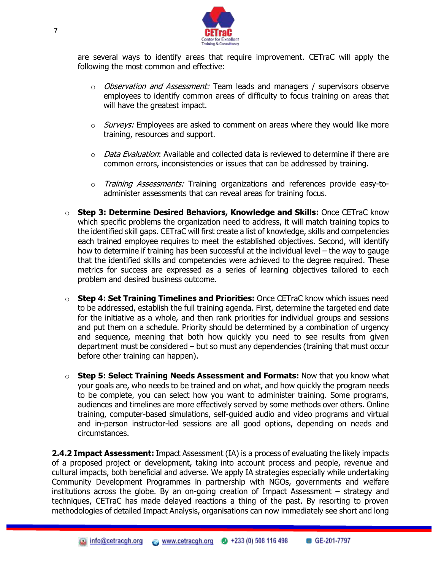

are several ways to identify areas that require improvement. CETraC will apply the following the most common and effective:

- $\circ$  *Observation and Assessment:* Team leads and managers / supervisors observe employees to identify common areas of difficulty to focus training on areas that will have the greatest impact.
- $\circ$  *Surveys:* Employees are asked to comment on areas where they would like more training, resources and support.
- $\circ$  *Data Evaluation*: Available and collected data is reviewed to determine if there are common errors, inconsistencies or issues that can be addressed by training.
- o *Training Assessments:* Training organizations and references provide easy-toadminister assessments that can reveal areas for training focus.
- o **Step 3: Determine Desired Behaviors, Knowledge and Skills:** Once CETraC know which specific problems the organization need to address, it will match training topics to the identified skill gaps. CETraC will first create a list of knowledge, skills and competencies each trained employee requires to meet the established objectives. Second, will identify how to determine if training has been successful at the individual level – the way to gauge that the identified skills and competencies were achieved to the degree required. These metrics for success are expressed as a series of learning objectives tailored to each problem and desired business outcome.
- o **Step 4: Set Training Timelines and Priorities:** Once CETraC know which issues need to be addressed, establish the full training agenda. First, determine the targeted end date for the initiative as a whole, and then rank priorities for individual groups and sessions and put them on a schedule. Priority should be determined by a combination of urgency and sequence, meaning that both how quickly you need to see results from given department must be considered – but so must any dependencies (training that must occur before other training can happen).
- o **Step 5: Select Training Needs Assessment and Formats:** Now that you know what your goals are, who needs to be trained and on what, and how quickly the program needs to be complete, you can select how you want to administer training. Some programs, audiences and timelines are more effectively served by some methods over others. Online training, computer-based simulations, self-guided audio and video programs and virtual and in-person instructor-led sessions are all good options, depending on needs and circumstances.

**2.4.2 Impact Assessment:** Impact Assessment (IA) is a process of evaluating the likely impacts of a proposed project or development, taking into account process and people, revenue and cultural impacts, both beneficial and adverse. We apply IA strategies especially while undertaking Community Development Programmes in partnership with NGOs, governments and welfare institutions across the globe. By an on-going creation of Impact Assessment – strategy and techniques, CETraC has made delayed reactions a thing of the past. By resorting to proven methodologies of detailed Impact Analysis, organisations can now immediately see short and long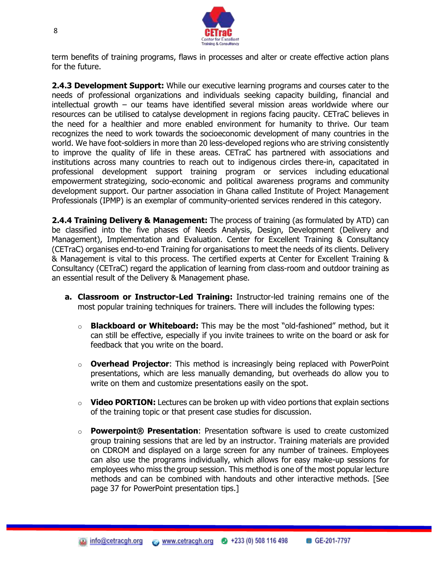![](_page_8_Picture_0.jpeg)

term benefits of training programs, flaws in processes and alter or create effective action plans for the future.

**2.4.3 Development Support:** While our executive learning programs and courses cater to the needs of professional organizations and individuals seeking capacity building, financial and intellectual growth – our teams have identified several mission areas worldwide where our resources can be utilised to catalyse development in regions facing paucity. CETraC believes in the need for a healthier and more enabled environment for humanity to thrive. Our team recognizes the need to work towards the socioeconomic development of many countries in the world. We have foot-soldiers in more than 20 less-developed regions who are striving consistently to improve the quality of life in these areas. CETraC has partnered with associations and institutions across many countries to reach out to indigenous circles there-in, capacitated in professional development support training program or services including [educational](https://zoetalentsolutions.com/development-support/educational-support/)  [empowerment](https://zoetalentsolutions.com/development-support/educational-support/) strategizing, socio-economic and political awareness programs and [community](https://zoetalentsolutions.com/development-support/)  [development support.](https://zoetalentsolutions.com/development-support/) Our partner association in Ghana called Institute of Project Management Professionals (IPMP) is an exemplar of community-oriented services rendered in this category.

**2.4.4 Training Delivery & Management:** The process of training (as formulated by ATD) can be classified into the five phases of Needs Analysis, Design, Development (Delivery and Management), Implementation and Evaluation. Center for Excellent Training & Consultancy (CETraC) organises end-to-end Training for organisations to meet the needs of its clients. Delivery & Management is vital to this process. The certified experts at Center for Excellent Training & Consultancy (CETraC) regard the application of learning from class-room and outdoor training as an essential result of the Delivery & Management phase.

- **a. Classroom or Instructor-Led Training:** Instructor-led training remains one of the most popular training techniques for trainers. There will includes the following types:
	- o **Blackboard or Whiteboard:** This may be the most "old-fashioned" method, but it can still be effective, especially if you invite trainees to write on the board or ask for feedback that you write on the board.
	- o **Overhead Projector**: This method is increasingly being replaced with PowerPoint presentations, which are less manually demanding, but overheads do allow you to write on them and customize presentations easily on the spot.
	- o **Video PORTION:** Lectures can be broken up with video portions that explain sections of the training topic or that present case studies for discussion.
	- **Powerpoint® Presentation:** Presentation software is used to create customized group training sessions that are led by an instructor. Training materials are provided on CDROM and displayed on a large screen for any number of trainees. Employees can also use the programs individually, which allows for easy make-up sessions for employees who miss the group session. This method is one of the most popular lecture methods and can be combined with handouts and other interactive methods. [See page 37 for PowerPoint presentation tips.]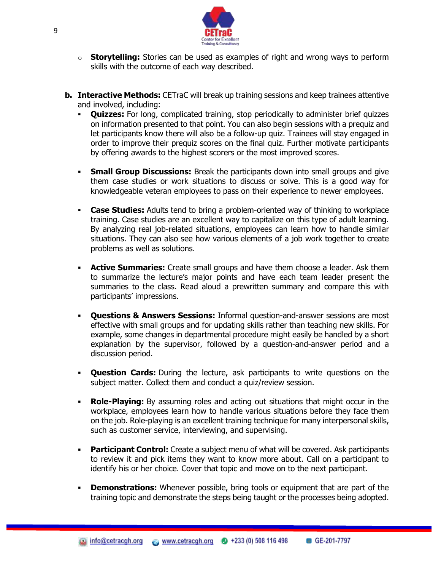![](_page_9_Picture_0.jpeg)

- o **Storytelling:** Stories can be used as examples of right and wrong ways to perform skills with the outcome of each way described.
- **b. Interactive Methods:** CETraC will break up training sessions and keep trainees attentive and involved, including:
	- **Quizzes:** For long, complicated training, stop periodically to administer brief quizzes on information presented to that point. You can also begin sessions with a prequiz and let participants know there will also be a follow-up quiz. Trainees will stay engaged in order to improve their prequiz scores on the final quiz. Further motivate participants by offering awards to the highest scorers or the most improved scores.
	- **Small Group Discussions:** Break the participants down into small groups and give them case studies or work situations to discuss or solve. This is a good way for knowledgeable veteran employees to pass on their experience to newer employees.
	- **Case Studies:** Adults tend to bring a problem-oriented way of thinking to workplace training. Case studies are an excellent way to capitalize on this type of adult learning. By analyzing real job-related situations, employees can learn how to handle similar situations. They can also see how various elements of a job work together to create problems as well as solutions.
	- **Active Summaries:** Create small groups and have them choose a leader. Ask them to summarize the lecture's major points and have each team leader present the summaries to the class. Read aloud a prewritten summary and compare this with participants' impressions.
	- **Questions & Answers Sessions:** Informal question-and-answer sessions are most effective with small groups and for updating skills rather than teaching new skills. For example, some changes in departmental procedure might easily be handled by a short explanation by the supervisor, followed by a question-and-answer period and a discussion period.
	- **Question Cards:** During the lecture, ask participants to write questions on the subject matter. Collect them and conduct a quiz/review session.
	- **Role-Playing:** By assuming roles and acting out situations that might occur in the workplace, employees learn how to handle various situations before they face them on the job. Role-playing is an excellent training technique for many interpersonal skills, such as customer service, interviewing, and supervising.
	- **Participant Control:** Create a subject menu of what will be covered. Ask participants to review it and pick items they want to know more about. Call on a participant to identify his or her choice. Cover that topic and move on to the next participant.
	- **Demonstrations:** Whenever possible, bring tools or equipment that are part of the training topic and demonstrate the steps being taught or the processes being adopted.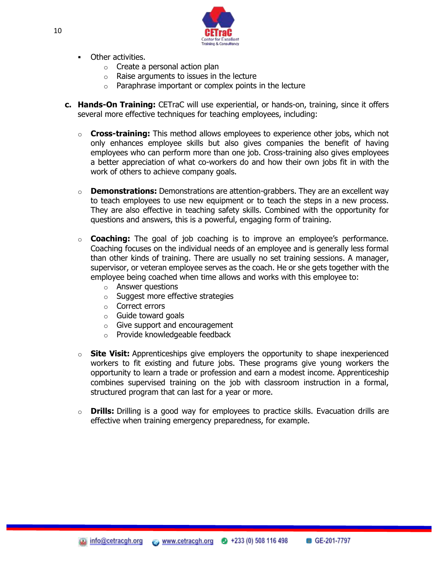![](_page_10_Picture_0.jpeg)

- **C**ther activities.
	- $\circ$  Create a personal action plan
	- $\circ$  Raise arguments to issues in the lecture
	- o Paraphrase important or complex points in the lecture
- **c. Hands-On Training:** CETraC will use experiential, or hands-on, training, since it offers several more effective techniques for teaching employees, including:
	- o **Cross-training:** This method allows employees to experience other jobs, which not only enhances employee skills but also gives companies the benefit of having employees who can perform more than one job. Cross-training also gives employees a better appreciation of what co-workers do and how their own jobs fit in with the work of others to achieve company goals.
	- o **Demonstrations:** Demonstrations are attention-grabbers. They are an excellent way to teach employees to use new equipment or to teach the steps in a new process. They are also effective in teaching safety skills. Combined with the opportunity for questions and answers, this is a powerful, engaging form of training.
	- o **Coaching:** The goal of job coaching is to improve an employee's performance. Coaching focuses on the individual needs of an employee and is generally less formal than other kinds of training. There are usually no set training sessions. A manager, supervisor, or veteran employee serves as the coach. He or she gets together with the employee being coached when time allows and works with this employee to:
		- o Answer questions
		- o Suggest more effective strategies
		- o Correct errors
		- o Guide toward goals
		- o Give support and encouragement
		- o Provide knowledgeable feedback
	- o **Site Visit:** Apprenticeships give employers the opportunity to shape inexperienced workers to fit existing and future jobs. These programs give young workers the opportunity to learn a trade or profession and earn a modest income. Apprenticeship combines supervised training on the job with classroom instruction in a formal, structured program that can last for a year or more.
	- o **Drills:** Drilling is a good way for employees to practice skills. Evacuation drills are effective when training emergency preparedness, for example.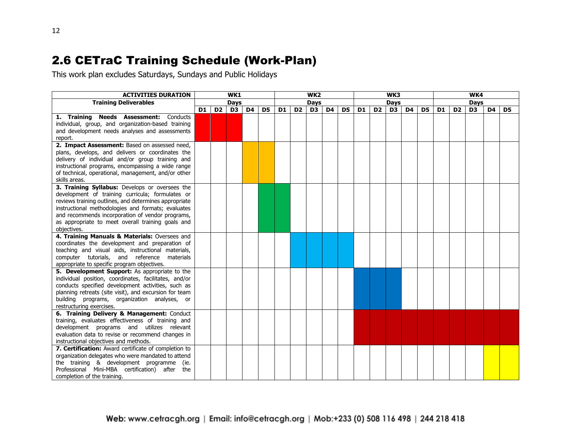#### 2.6 CETraC Training Schedule (Work-Plan)

This work plan excludes Saturdays, Sundays and Public Holidays

| <b>ACTIVITIES DURATION</b>                                                                   |                |                | WK1            |             |                |                |                | WK <sub>2</sub> |             |                |    |                | WK3 |                |    |                |                | WK4            |    |    |
|----------------------------------------------------------------------------------------------|----------------|----------------|----------------|-------------|----------------|----------------|----------------|-----------------|-------------|----------------|----|----------------|-----|----------------|----|----------------|----------------|----------------|----|----|
| <b>Training Deliverables</b>                                                                 | <b>Days</b>    |                |                | <b>Days</b> |                | <b>Days</b>    |                |                 | <b>Days</b> |                |    |                |     |                |    |                |                |                |    |    |
|                                                                                              | D <sub>1</sub> | D <sub>2</sub> | D <sub>3</sub> | D4          | D <sub>5</sub> | D <sub>1</sub> | D <sub>2</sub> | D <sub>3</sub>  | <b>D4</b>   | D <sub>5</sub> | D1 | D <sub>2</sub> | D3  | D <sub>4</sub> | D5 | D <sub>1</sub> | D <sub>2</sub> | D <sub>3</sub> | D4 | D5 |
| 1. Training Needs Assessment: Conducts                                                       |                |                |                |             |                |                |                |                 |             |                |    |                |     |                |    |                |                |                |    |    |
| individual, group, and organization-based training                                           |                |                |                |             |                |                |                |                 |             |                |    |                |     |                |    |                |                |                |    |    |
| and development needs analyses and assessments<br>report.                                    |                |                |                |             |                |                |                |                 |             |                |    |                |     |                |    |                |                |                |    |    |
| 2. Impact Assessment: Based on assessed need,                                                |                |                |                |             |                |                |                |                 |             |                |    |                |     |                |    |                |                |                |    |    |
| plans, develops, and delivers or coordinates the                                             |                |                |                |             |                |                |                |                 |             |                |    |                |     |                |    |                |                |                |    |    |
| delivery of individual and/or group training and                                             |                |                |                |             |                |                |                |                 |             |                |    |                |     |                |    |                |                |                |    |    |
| instructional programs, encompassing a wide range                                            |                |                |                |             |                |                |                |                 |             |                |    |                |     |                |    |                |                |                |    |    |
| of technical, operational, management, and/or other                                          |                |                |                |             |                |                |                |                 |             |                |    |                |     |                |    |                |                |                |    |    |
| skills areas.                                                                                |                |                |                |             |                |                |                |                 |             |                |    |                |     |                |    |                |                |                |    |    |
| 3. Training Syllabus: Develops or oversees the                                               |                |                |                |             |                |                |                |                 |             |                |    |                |     |                |    |                |                |                |    |    |
| development of training curricula; formulates or                                             |                |                |                |             |                |                |                |                 |             |                |    |                |     |                |    |                |                |                |    |    |
| reviews training outlines, and determines appropriate                                        |                |                |                |             |                |                |                |                 |             |                |    |                |     |                |    |                |                |                |    |    |
| instructional methodologies and formats; evaluates                                           |                |                |                |             |                |                |                |                 |             |                |    |                |     |                |    |                |                |                |    |    |
| and recommends incorporation of vendor programs,                                             |                |                |                |             |                |                |                |                 |             |                |    |                |     |                |    |                |                |                |    |    |
| as appropriate to meet overall training goals and                                            |                |                |                |             |                |                |                |                 |             |                |    |                |     |                |    |                |                |                |    |    |
| objectives.                                                                                  |                |                |                |             |                |                |                |                 |             |                |    |                |     |                |    |                |                |                |    |    |
| 4. Training Manuals & Materials: Oversees and                                                |                |                |                |             |                |                |                |                 |             |                |    |                |     |                |    |                |                |                |    |    |
| coordinates the development and preparation of                                               |                |                |                |             |                |                |                |                 |             |                |    |                |     |                |    |                |                |                |    |    |
| teaching and visual aids, instructional materials,                                           |                |                |                |             |                |                |                |                 |             |                |    |                |     |                |    |                |                |                |    |    |
| computer tutorials, and reference materials                                                  |                |                |                |             |                |                |                |                 |             |                |    |                |     |                |    |                |                |                |    |    |
| appropriate to specific program objectives.<br>5. Development Support: As appropriate to the |                |                |                |             |                |                |                |                 |             |                |    |                |     |                |    |                |                |                |    |    |
| individual position, coordinates, facilitates, and/or                                        |                |                |                |             |                |                |                |                 |             |                |    |                |     |                |    |                |                |                |    |    |
| conducts specified development activities, such as                                           |                |                |                |             |                |                |                |                 |             |                |    |                |     |                |    |                |                |                |    |    |
| planning retreats (site visit), and excursion for team                                       |                |                |                |             |                |                |                |                 |             |                |    |                |     |                |    |                |                |                |    |    |
| building programs, organization analyses, or                                                 |                |                |                |             |                |                |                |                 |             |                |    |                |     |                |    |                |                |                |    |    |
| restructuring exercises.                                                                     |                |                |                |             |                |                |                |                 |             |                |    |                |     |                |    |                |                |                |    |    |
| 6. Training Delivery & Management: Conduct                                                   |                |                |                |             |                |                |                |                 |             |                |    |                |     |                |    |                |                |                |    |    |
| training, evaluates effectiveness of training and                                            |                |                |                |             |                |                |                |                 |             |                |    |                |     |                |    |                |                |                |    |    |
| development programs and utilizes relevant                                                   |                |                |                |             |                |                |                |                 |             |                |    |                |     |                |    |                |                |                |    |    |
| evaluation data to revise or recommend changes in                                            |                |                |                |             |                |                |                |                 |             |                |    |                |     |                |    |                |                |                |    |    |
| instructional objectives and methods.                                                        |                |                |                |             |                |                |                |                 |             |                |    |                |     |                |    |                |                |                |    |    |
| 7. Certification: Award certificate of completion to                                         |                |                |                |             |                |                |                |                 |             |                |    |                |     |                |    |                |                |                |    |    |
| organization delegates who were mandated to attend                                           |                |                |                |             |                |                |                |                 |             |                |    |                |     |                |    |                |                |                |    |    |
| the training & development programme<br>(ie.                                                 |                |                |                |             |                |                |                |                 |             |                |    |                |     |                |    |                |                |                |    |    |
| Professional Mini-MBA certification) after the                                               |                |                |                |             |                |                |                |                 |             |                |    |                |     |                |    |                |                |                |    |    |
| completion of the training.                                                                  |                |                |                |             |                |                |                |                 |             |                |    |                |     |                |    |                |                |                |    |    |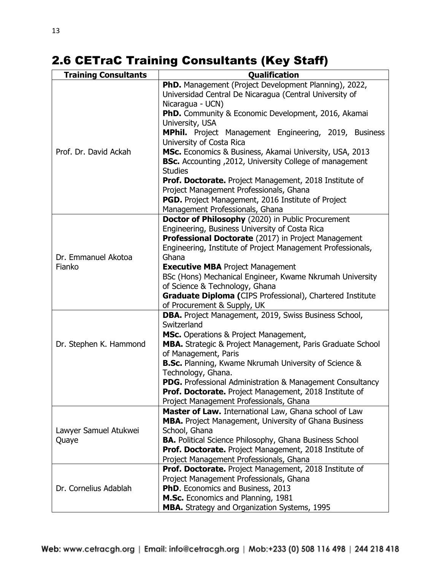# 2.6 CETraC Training Consultants (Key Staff)

| <b>Training Consultants</b> | <b>Qualification</b>                                                                     |  |  |  |  |
|-----------------------------|------------------------------------------------------------------------------------------|--|--|--|--|
|                             | <b>PhD.</b> Management (Project Development Planning), 2022,                             |  |  |  |  |
|                             | Universidad Central De Nicaragua (Central University of                                  |  |  |  |  |
|                             | Nicaragua - UCN)                                                                         |  |  |  |  |
|                             | PhD. Community & Economic Development, 2016, Akamai                                      |  |  |  |  |
|                             | University, USA                                                                          |  |  |  |  |
|                             | MPhil. Project Management Engineering, 2019, Business                                    |  |  |  |  |
|                             | University of Costa Rica                                                                 |  |  |  |  |
| Prof. Dr. David Ackah       | MSc. Economics & Business, Akamai University, USA, 2013                                  |  |  |  |  |
|                             | <b>BSc.</b> Accounting , 2012, University College of management                          |  |  |  |  |
|                             | <b>Studies</b>                                                                           |  |  |  |  |
|                             | <b>Prof. Doctorate.</b> Project Management, 2018 Institute of                            |  |  |  |  |
|                             | Project Management Professionals, Ghana                                                  |  |  |  |  |
|                             | <b>PGD.</b> Project Management, 2016 Institute of Project                                |  |  |  |  |
|                             | Management Professionals, Ghana                                                          |  |  |  |  |
|                             | Doctor of Philosophy (2020) in Public Procurement                                        |  |  |  |  |
|                             | Engineering, Business University of Costa Rica                                           |  |  |  |  |
|                             | Professional Doctorate (2017) in Project Management                                      |  |  |  |  |
|                             | Engineering, Institute of Project Management Professionals,                              |  |  |  |  |
| Dr. Emmanuel Akotoa         | Ghana                                                                                    |  |  |  |  |
| Fianko                      | <b>Executive MBA Project Management</b>                                                  |  |  |  |  |
|                             | BSc (Hons) Mechanical Engineer, Kwame Nkrumah University                                 |  |  |  |  |
|                             | of Science & Technology, Ghana                                                           |  |  |  |  |
|                             | Graduate Diploma (CIPS Professional), Chartered Institute<br>of Procurement & Supply, UK |  |  |  |  |
|                             | DBA. Project Management, 2019, Swiss Business School,                                    |  |  |  |  |
|                             | Switzerland                                                                              |  |  |  |  |
|                             | MSc. Operations & Project Management,                                                    |  |  |  |  |
| Dr. Stephen K. Hammond      | MBA. Strategic & Project Management, Paris Graduate School                               |  |  |  |  |
|                             | of Management, Paris                                                                     |  |  |  |  |
|                             | <b>B.Sc.</b> Planning, Kwame Nkrumah University of Science &                             |  |  |  |  |
|                             | Technology, Ghana.                                                                       |  |  |  |  |
|                             | <b>PDG.</b> Professional Administration & Management Consultancy                         |  |  |  |  |
|                             | Prof. Doctorate. Project Management, 2018 Institute of                                   |  |  |  |  |
|                             | Project Management Professionals, Ghana                                                  |  |  |  |  |
|                             | Master of Law. International Law, Ghana school of Law                                    |  |  |  |  |
|                             | MBA. Project Management, University of Ghana Business                                    |  |  |  |  |
| Lawyer Samuel Atukwei       | School, Ghana                                                                            |  |  |  |  |
| Quaye                       | <b>BA.</b> Political Science Philosophy, Ghana Business School                           |  |  |  |  |
|                             | Prof. Doctorate. Project Management, 2018 Institute of                                   |  |  |  |  |
|                             | Project Management Professionals, Ghana                                                  |  |  |  |  |
|                             | Prof. Doctorate. Project Management, 2018 Institute of                                   |  |  |  |  |
|                             | Project Management Professionals, Ghana                                                  |  |  |  |  |
| Dr. Cornelius Adablah       | PhD. Economics and Business, 2013                                                        |  |  |  |  |
|                             | M.Sc. Economics and Planning, 1981                                                       |  |  |  |  |
|                             | MBA. Strategy and Organization Systems, 1995                                             |  |  |  |  |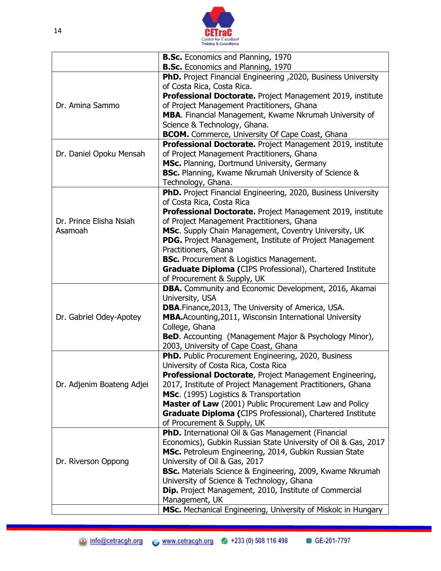![](_page_13_Picture_0.jpeg)

|                           | <b>B.Sc.</b> Economics and Planning, 1970                                                   |
|---------------------------|---------------------------------------------------------------------------------------------|
|                           | <b>B.Sc.</b> Economics and Planning, 1970                                                   |
|                           | PhD. Project Financial Engineering , 2020, Business University                              |
|                           | of Costa Rica, Costa Rica.                                                                  |
|                           | Professional Doctorate. Project Management 2019, institute                                  |
| Dr. Amina Sammo           | of Project Management Practitioners, Ghana                                                  |
|                           | MBA. Financial Management, Kwame Nkrumah University of                                      |
|                           | Science & Technology, Ghana.                                                                |
|                           | <b>BCOM.</b> Commerce, University Of Cape Coast, Ghana                                      |
|                           | Professional Doctorate. Project Management 2019, institute                                  |
| Dr. Daniel Opoku Mensah   | of Project Management Practitioners, Ghana                                                  |
|                           | MSc. Planning, Dortmund University, Germany                                                 |
|                           | <b>BSc.</b> Planning, Kwame Nkrumah University of Science &                                 |
|                           | Technology, Ghana.<br>PhD. Project Financial Engineering, 2020, Business University         |
|                           | of Costa Rica, Costa Rica                                                                   |
|                           | Professional Doctorate. Project Management 2019, institute                                  |
| Dr. Prince Elisha Nsiah   | of Project Management Practitioners, Ghana                                                  |
| Asamoah                   | MSc. Supply Chain Management, Coventry University, UK                                       |
|                           | <b>PDG.</b> Project Management, Institute of Project Management                             |
|                           | Practitioners, Ghana                                                                        |
|                           | <b>BSc.</b> Procurement & Logistics Management.                                             |
|                           | Graduate Diploma (CIPS Professional), Chartered Institute                                   |
|                           | of Procurement & Supply, UK                                                                 |
|                           |                                                                                             |
|                           | DBA. Community and Economic Development, 2016, Akamai                                       |
|                           | University, USA                                                                             |
|                           | <b>DBA.</b> Finance, 2013, The University of America, USA.                                  |
| Dr. Gabriel Odey-Apotey   | MBA.Acounting, 2011, Wisconsin International University                                     |
|                           | College, Ghana                                                                              |
|                           | <b>BeD.</b> Accounting (Management Major & Psychology Minor),                               |
|                           | 2003, University of Cape Coast, Ghana                                                       |
|                           | PhD. Public Procurement Engineering, 2020, Business<br>University of Costa Rica, Costa Rica |
|                           | Professional Doctorate, Project Management Engineering,                                     |
| Dr. Adjenim Boateng Adjei | 2017, Institute of Project Management Practitioners, Ghana                                  |
|                           | MSc. (1995) Logistics & Transportation                                                      |
|                           | Master of Law (2001) Public Procurement Law and Policy                                      |
|                           | Graduate Diploma (CIPS Professional), Chartered Institute                                   |
|                           | of Procurement & Supply, UK                                                                 |
|                           | PhD. International Oil & Gas Management (Financial                                          |
|                           | Economics), Gubkin Russian State University of Oil & Gas, 2017                              |
|                           | MSc. Petroleum Engineering, 2014, Gubkin Russian State                                      |
| Dr. Riverson Oppong       | University of Oil & Gas, 2017                                                               |
|                           | <b>BSc.</b> Materials Science & Engineering, 2009, Kwame Nkrumah                            |
|                           | University of Science & Technology, Ghana                                                   |
|                           | <b>Dip.</b> Project Management, 2010, Institute of Commercial                               |
|                           | Management, UK<br>MSc. Mechanical Engineering, University of Miskolc in Hungary             |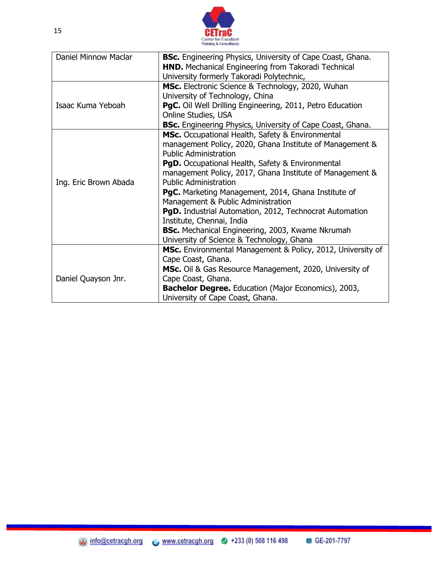![](_page_14_Picture_0.jpeg)

| Daniel Minnow Maclar  | <b>BSc.</b> Engineering Physics, University of Cape Coast, Ghana. |
|-----------------------|-------------------------------------------------------------------|
|                       | <b>HND.</b> Mechanical Engineering from Takoradi Technical        |
|                       | University formerly Takoradi Polytechnic,                         |
|                       | MSc. Electronic Science & Technology, 2020, Wuhan                 |
|                       | University of Technology, China                                   |
| Isaac Kuma Yeboah     | PgC. Oil Well Drilling Engineering, 2011, Petro Education         |
|                       | Online Studies, USA                                               |
|                       | <b>BSc.</b> Engineering Physics, University of Cape Coast, Ghana. |
|                       | MSc. Occupational Health, Safety & Environmental                  |
|                       | management Policy, 2020, Ghana Institute of Management &          |
|                       | <b>Public Administration</b>                                      |
|                       | <b>PgD.</b> Occupational Health, Safety & Environmental           |
|                       | management Policy, 2017, Ghana Institute of Management &          |
| Ing. Eric Brown Abada | <b>Public Administration</b>                                      |
|                       | <b>PgC.</b> Marketing Management, 2014, Ghana Institute of        |
|                       | Management & Public Administration                                |
|                       | PgD. Industrial Automation, 2012, Technocrat Automation           |
|                       | Institute, Chennai, India                                         |
|                       | <b>BSc.</b> Mechanical Engineering, 2003, Kwame Nkrumah           |
|                       | University of Science & Technology, Ghana                         |
|                       | MSc. Environmental Management & Policy, 2012, University of       |
|                       | Cape Coast, Ghana.                                                |
|                       | MSc. Oil & Gas Resource Management, 2020, University of           |
| Daniel Quayson Jnr.   | Cape Coast, Ghana.                                                |
|                       | <b>Bachelor Degree.</b> Education (Major Economics), 2003,        |
|                       | University of Cape Coast, Ghana.                                  |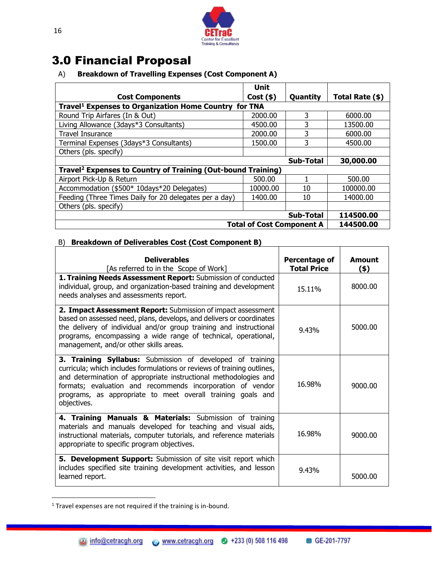![](_page_15_Picture_0.jpeg)

#### 3.0 Financial Proposal

#### A) **Breakdown of Travelling Expenses (Cost Component A)**

|                                                                          | <b>Unit</b>                      |           |                 |
|--------------------------------------------------------------------------|----------------------------------|-----------|-----------------|
| <b>Cost Components</b>                                                   | $Cost($ \$)                      | Quantity  | Total Rate (\$) |
| Travel <sup>1</sup> Expenses to Organization Home Country for TNA        |                                  |           |                 |
| Round Trip Airfares (In & Out)                                           | 2000.00                          | 3         | 6000.00         |
| Living Allowance (3days*3 Consultants)                                   | 4500.00                          | 3         | 13500.00        |
| <b>Travel Insurance</b>                                                  | 2000.00                          | 3         | 6000.00         |
| Terminal Expenses (3days*3 Consultants)                                  | 1500.00                          | 3         | 4500.00         |
| Others (pls. specify)                                                    |                                  |           |                 |
|                                                                          |                                  | Sub-Total | 30,000.00       |
| Travel <sup>2</sup> Expenses to Country of Training (Out-bound Training) |                                  |           |                 |
| Airport Pick-Up & Return                                                 | 500.00                           |           | 500.00          |
| Accommodation (\$500* 10days*20 Delegates)                               | 10000.00                         | 10        | 100000.00       |
| Feeding (Three Times Daily for 20 delegates per a day)                   | 1400.00                          | 10        | 14000.00        |
| Others (pls. specify)                                                    |                                  |           |                 |
|                                                                          |                                  | Sub-Total | 114500.00       |
|                                                                          | <b>Total of Cost Component A</b> |           | 144500.00       |

#### B) **Breakdown of Deliverables Cost (Cost Component B)**

| <b>Deliverables</b><br>[As referred to in the Scope of Work]                                                                                                                                                                                                                                                                                         | Percentage of<br><b>Total Price</b> | Amount<br>$($ \$) |
|------------------------------------------------------------------------------------------------------------------------------------------------------------------------------------------------------------------------------------------------------------------------------------------------------------------------------------------------------|-------------------------------------|-------------------|
| 1. Training Needs Assessment Report: Submission of conducted<br>individual, group, and organization-based training and development<br>needs analyses and assessments report.                                                                                                                                                                         | 15.11%                              | 8000.00           |
| 2. Impact Assessment Report: Submission of impact assessment<br>based on assessed need, plans, develops, and delivers or coordinates<br>the delivery of individual and/or group training and instructional<br>programs, encompassing a wide range of technical, operational,<br>management, and/or other skills areas.                               | 9.43%                               | 5000.00           |
| 3. Training Syllabus: Submission of developed of training<br>curricula; which includes formulations or reviews of training outlines,<br>and determination of appropriate instructional methodologies and<br>formats; evaluation and recommends incorporation of vendor<br>programs, as appropriate to meet overall training goals and<br>objectives. | 16.98%                              | 9000.00           |
| 4. Training Manuals & Materials: Submission of training<br>materials and manuals developed for teaching and visual aids,<br>instructional materials, computer tutorials, and reference materials<br>appropriate to specific program objectives.                                                                                                      | 16.98%                              | 9000.00           |
| 5. Development Support: Submission of site visit report which<br>includes specified site training development activities, and lesson<br>learned report.                                                                                                                                                                                              | 9.43%                               | 5000.00           |

 $1$  Travel expenses are not required if the training is in-bound.

l